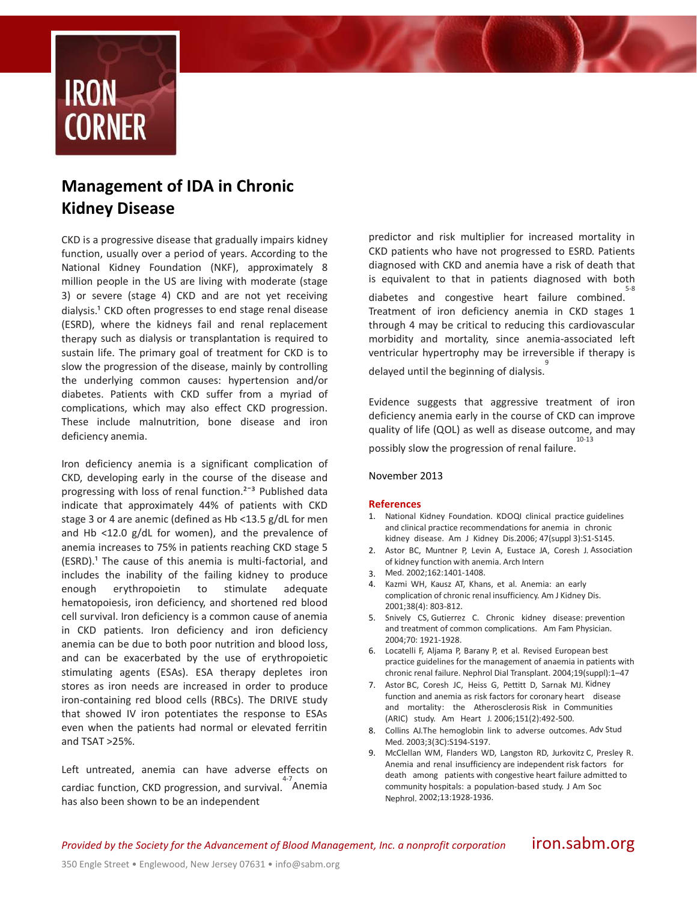

## **Management of IDA in Chronic Kidney Disease**

CKD is a progressive disease that gradually impairs kidney function, usually over a period of years. According to the National Kidney Foundation (NKF), approximately 8 million people in the US are living with moderate (stage 3) or severe (stage 4) CKD and are not yet receiving dialysis.<sup>1</sup> CKD often progresses to end stage renal disease (ESRD), where the kidneys fail and renal replacement therapy such as dialysis or transplantation is required to sustain life. The primary goal of treatment for CKD is to slow the progression of the disease, mainly by controlling the underlying common causes: hypertension and/or diabetes. Patients with CKD suffer from a myriad of complications, which may also effect CKD progression. These include malnutrition, bone disease and iron deficiency anemia.

Iron deficiency anemia is a significant complication of CKD, developing early in the course of the disease and progressing with loss of renal function.<sup>2-3</sup> Published data indicate that approximately 44% of patients with CKD stage 3 or 4 are anemic (defined as Hb <13.5 g/dL for men and Hb <12.0 g/dL for women), and the prevalence of anemia increases to 75% in patients reaching CKD stage 5  $(ESRD).<sup>1</sup>$  The cause of this anemia is multi-factorial, and includes the inability of the failing kidney to produce enough erythropoietin to stimulate adequate hematopoiesis, iron deficiency, and shortened red blood cell survival. Iron deficiency is a common cause of anemia in CKD patients. Iron deficiency and iron deficiency anemia can be due to both poor nutrition and blood loss, and can be exacerbated by the use of erythropoietic stimulating agents (ESAs). ESA therapy depletes iron stores as iron needs are increased in order to produce iron-containing red blood cells (RBCs). The DRIVE study that showed IV iron potentiates the response to ESAs even when the patients had normal or elevated ferritin and TSAT >25%.

Left untreated, anemia can have adverse effects on cardiac function, CKD progression, and survival. 4-7 Anemia has also been shown to be an independent

predictor and risk multiplier for increased mortality in CKD patients who have not progressed to ESRD. Patients diagnosed with CKD and anemia have a risk of death that is equivalent to that in patients diagnosed with both diabetes and congestive heart failure combined. 5-8 Treatment of iron deficiency anemia in CKD stages 1 through 4 may be critical to reducing this cardiovascular morbidity and mortality, since anemia-associated left ventricular hypertrophy may be irreversible if therapy is 9

delayed until the beginning of dialysis.

Evidence suggests that aggressive treatment of iron deficiency anemia early in the course of CKD can improve quality of life (QOL) as well as disease outcome, and may possibly slow the progression of renal failure. 10-13

November 2013

## **References**

- 1. National Kidney Foundation. KDOQI clinical practice guidelines and clinical practice recommendations for anemia in chronic kidney disease. Am J Kidney Dis.2006; 47(suppl 3):S1-S145.
- 2. Astor BC, Muntner P, Levin A, Eustace JA, Coresh J. Association of kidney function with anemia. Arch Intern
- 3. Med. 2002;162:1401-1408.
- 4. Kazmi WH, Kausz AT, Khans, et al. Anemia: an early complication of chronic renal insufficiency. Am J Kidney Dis. 2001;38(4): 803-812.
- 5. Snively CS, Gutierrez C. Chronic kidney disease: prevention and treatment of common complications. Am Fam Physician. 2004;70: 1921-1928.
- 6. Locatelli F, Aljama P, Barany P, et al. Revised European best practice guidelines for the management of anaemia in patients with chronic renal failure. Nephrol Dial Transplant. 2004;19(suppl):1–47
- 7. Astor BC, Coresh JC, Heiss G, Pettitt D, Sarnak MJ. Kidney function and anemia as risk factors for coronary heart disease and mortality: the Atherosclerosis Risk in Communities (ARIC) study. Am Heart J. 2006;151(2):492-500.
- 8. Collins AJ.The hemoglobin link to adverse outcomes. Adv Stud Med. 2003;3(3C):S194-S197.
- 9. McClellan WM, Flanders WD, Langston RD, Jurkovitz C, Presley R. Anemia and renal insufficiency are independent risk factors for death among patients with congestive heart failure admitted to community hospitals: a population-based study. J Am Soc Nephrol. 2002;13:1928-1936.

*Provided by the Society for the Advancement of Blood Management, Inc. a nonprofit corporation* iron.sabm.org